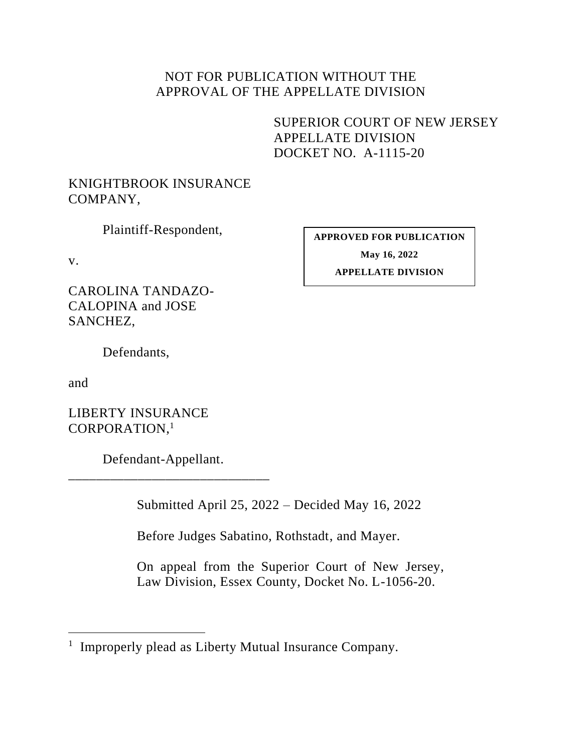## NOT FOR PUBLICATION WITHOUT THE APPROVAL OF THE APPELLATE DIVISION

SUPERIOR COURT OF NEW JERSEY APPELLATE DIVISION DOCKET NO. A-1115-20

## KNIGHTBROOK INSURANCE COMPANY,

Plaintiff-Respondent,

v.

CAROLINA TANDAZO-CALOPINA and JOSE SANCHEZ,

Defendants,

and

LIBERTY INSURANCE CORPORATION, 1

Defendant-Appellant. \_\_\_\_\_\_\_\_\_\_\_\_\_\_\_\_\_\_\_\_\_\_\_\_\_\_\_\_\_

Submitted April 25, 2022 – Decided May 16, 2022

Before Judges Sabatino, Rothstadt, and Mayer.

On appeal from the Superior Court of New Jersey, Law Division, Essex County, Docket No. L-1056-20.

**APPROVED FOR PUBLICATION May 16, 2022 APPELLATE DIVISION**

<sup>&</sup>lt;sup>1</sup> Improperly plead as Liberty Mutual Insurance Company.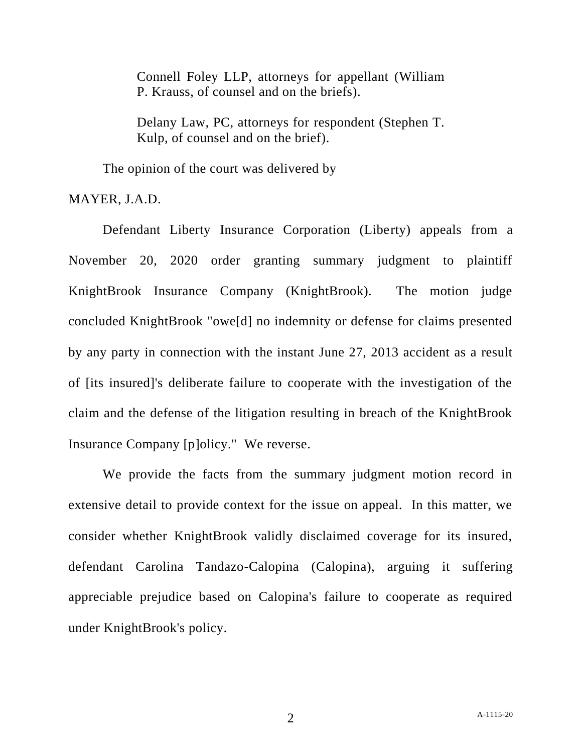Connell Foley LLP, attorneys for appellant (William P. Krauss, of counsel and on the briefs).

Delany Law, PC, attorneys for respondent (Stephen T. Kulp, of counsel and on the brief).

The opinion of the court was delivered by

MAYER, J.A.D.

Defendant Liberty Insurance Corporation (Liberty) appeals from a November 20, 2020 order granting summary judgment to plaintiff KnightBrook Insurance Company (KnightBrook). The motion judge concluded KnightBrook "owe[d] no indemnity or defense for claims presented by any party in connection with the instant June 27, 2013 accident as a result of [its insured]'s deliberate failure to cooperate with the investigation of the claim and the defense of the litigation resulting in breach of the KnightBrook Insurance Company [p]olicy." We reverse.

We provide the facts from the summary judgment motion record in extensive detail to provide context for the issue on appeal. In this matter, we consider whether KnightBrook validly disclaimed coverage for its insured, defendant Carolina Tandazo-Calopina (Calopina), arguing it suffering appreciable prejudice based on Calopina's failure to cooperate as required under KnightBrook's policy.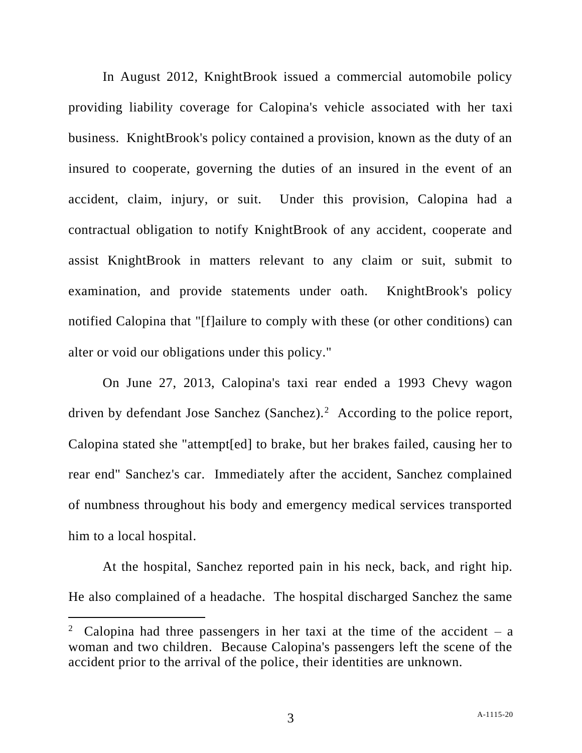In August 2012, KnightBrook issued a commercial automobile policy providing liability coverage for Calopina's vehicle associated with her taxi business. KnightBrook's policy contained a provision, known as the duty of an insured to cooperate, governing the duties of an insured in the event of an accident, claim, injury, or suit. Under this provision, Calopina had a contractual obligation to notify KnightBrook of any accident, cooperate and assist KnightBrook in matters relevant to any claim or suit, submit to examination, and provide statements under oath. KnightBrook's policy notified Calopina that "[f]ailure to comply with these (or other conditions) can alter or void our obligations under this policy."

On June 27, 2013, Calopina's taxi rear ended a 1993 Chevy wagon driven by defendant Jose Sanchez (Sanchez).<sup>2</sup> According to the police report, Calopina stated she "attempt[ed] to brake, but her brakes failed, causing her to rear end" Sanchez's car. Immediately after the accident, Sanchez complained of numbness throughout his body and emergency medical services transported him to a local hospital.

At the hospital, Sanchez reported pain in his neck, back, and right hip. He also complained of a headache. The hospital discharged Sanchez the same

<sup>2</sup> Calopina had three passengers in her taxi at the time of the accident  $-$  a woman and two children. Because Calopina's passengers left the scene of the accident prior to the arrival of the police, their identities are unknown.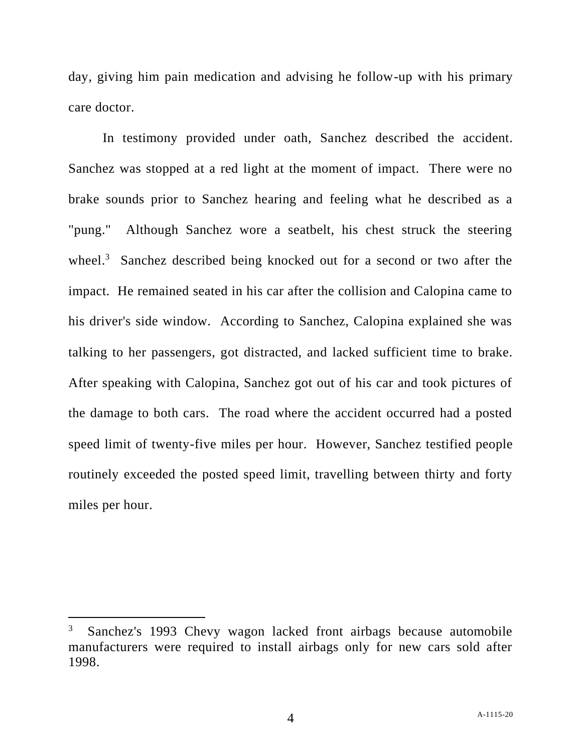day, giving him pain medication and advising he follow-up with his primary care doctor.

In testimony provided under oath, Sanchez described the accident. Sanchez was stopped at a red light at the moment of impact. There were no brake sounds prior to Sanchez hearing and feeling what he described as a "pung." Although Sanchez wore a seatbelt, his chest struck the steering wheel.<sup>3</sup> Sanchez described being knocked out for a second or two after the impact. He remained seated in his car after the collision and Calopina came to his driver's side window. According to Sanchez, Calopina explained she was talking to her passengers, got distracted, and lacked sufficient time to brake. After speaking with Calopina, Sanchez got out of his car and took pictures of the damage to both cars. The road where the accident occurred had a posted speed limit of twenty-five miles per hour. However, Sanchez testified people routinely exceeded the posted speed limit, travelling between thirty and forty miles per hour.

<sup>3</sup> Sanchez's 1993 Chevy wagon lacked front airbags because automobile manufacturers were required to install airbags only for new cars sold after 1998.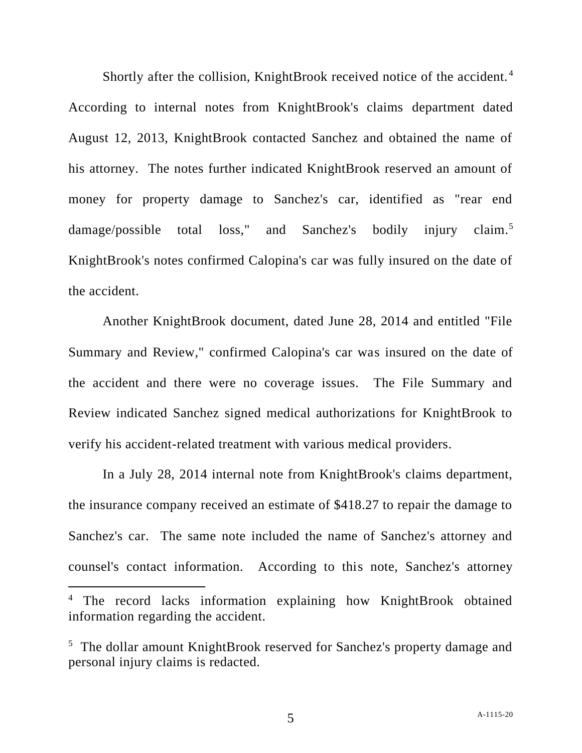Shortly after the collision, KnightBrook received notice of the accident. $4$ According to internal notes from KnightBrook's claims department dated August 12, 2013, KnightBrook contacted Sanchez and obtained the name of his attorney. The notes further indicated KnightBrook reserved an amount of money for property damage to Sanchez's car, identified as "rear end damage/possible total loss," and Sanchez's bodily injury claim.<sup>5</sup> KnightBrook's notes confirmed Calopina's car was fully insured on the date of the accident.

Another KnightBrook document, dated June 28, 2014 and entitled "File Summary and Review," confirmed Calopina's car was insured on the date of the accident and there were no coverage issues. The File Summary and Review indicated Sanchez signed medical authorizations for KnightBrook to verify his accident-related treatment with various medical providers.

In a July 28, 2014 internal note from KnightBrook's claims department, the insurance company received an estimate of \$418.27 to repair the damage to Sanchez's car. The same note included the name of Sanchez's attorney and counsel's contact information. According to this note, Sanchez's attorney

<sup>&</sup>lt;sup>4</sup> The record lacks information explaining how KnightBrook obtained information regarding the accident.

<sup>&</sup>lt;sup>5</sup> The dollar amount KnightBrook reserved for Sanchez's property damage and personal injury claims is redacted.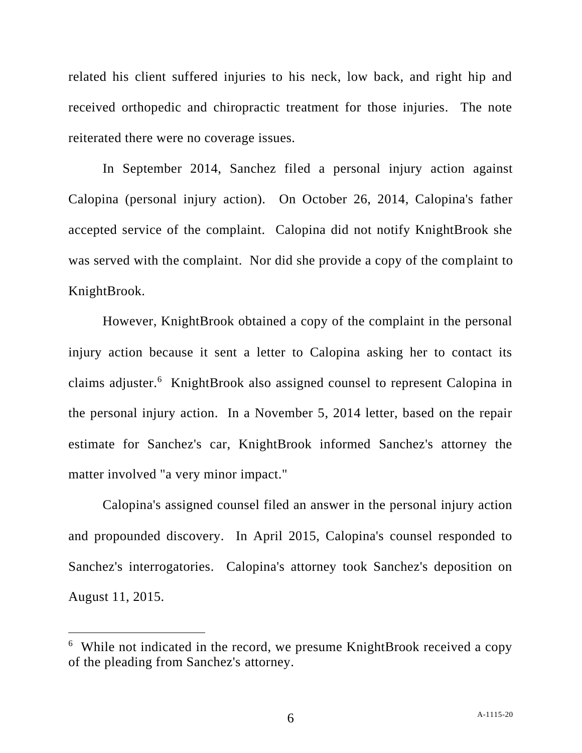related his client suffered injuries to his neck, low back, and right hip and received orthopedic and chiropractic treatment for those injuries. The note reiterated there were no coverage issues.

In September 2014, Sanchez filed a personal injury action against Calopina (personal injury action). On October 26, 2014, Calopina's father accepted service of the complaint. Calopina did not notify KnightBrook she was served with the complaint. Nor did she provide a copy of the complaint to KnightBrook.

However, KnightBrook obtained a copy of the complaint in the personal injury action because it sent a letter to Calopina asking her to contact its claims adjuster.<sup>6</sup> KnightBrook also assigned counsel to represent Calopina in the personal injury action. In a November 5, 2014 letter, based on the repair estimate for Sanchez's car, KnightBrook informed Sanchez's attorney the matter involved "a very minor impact."

Calopina's assigned counsel filed an answer in the personal injury action and propounded discovery. In April 2015, Calopina's counsel responded to Sanchez's interrogatories. Calopina's attorney took Sanchez's deposition on August 11, 2015.

<sup>&</sup>lt;sup>6</sup> While not indicated in the record, we presume KnightBrook received a copy of the pleading from Sanchez's attorney.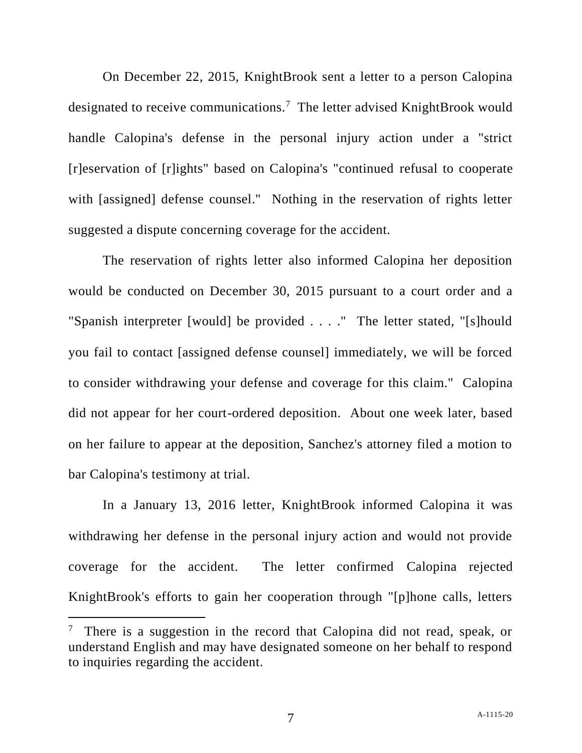On December 22, 2015, KnightBrook sent a letter to a person Calopina designated to receive communications.<sup>7</sup> The letter advised KnightBrook would handle Calopina's defense in the personal injury action under a "strict [r]eservation of [r]ights" based on Calopina's "continued refusal to cooperate with [assigned] defense counsel." Nothing in the reservation of rights letter suggested a dispute concerning coverage for the accident.

The reservation of rights letter also informed Calopina her deposition would be conducted on December 30, 2015 pursuant to a court order and a "Spanish interpreter [would] be provided . . . ." The letter stated, "[s]hould you fail to contact [assigned defense counsel] immediately, we will be forced to consider withdrawing your defense and coverage for this claim." Calopina did not appear for her court-ordered deposition. About one week later, based on her failure to appear at the deposition, Sanchez's attorney filed a motion to bar Calopina's testimony at trial.

In a January 13, 2016 letter, KnightBrook informed Calopina it was withdrawing her defense in the personal injury action and would not provide coverage for the accident. The letter confirmed Calopina rejected KnightBrook's efforts to gain her cooperation through "[p]hone calls, letters

<sup>7</sup> There is a suggestion in the record that Calopina did not read, speak, or understand English and may have designated someone on her behalf to respond to inquiries regarding the accident.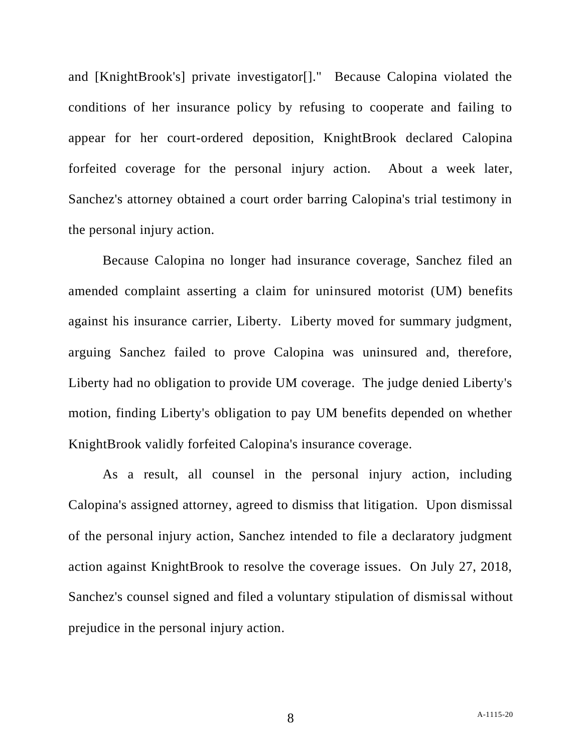and [KnightBrook's] private investigator[]." Because Calopina violated the conditions of her insurance policy by refusing to cooperate and failing to appear for her court-ordered deposition, KnightBrook declared Calopina forfeited coverage for the personal injury action. About a week later, Sanchez's attorney obtained a court order barring Calopina's trial testimony in the personal injury action.

Because Calopina no longer had insurance coverage, Sanchez filed an amended complaint asserting a claim for uninsured motorist (UM) benefits against his insurance carrier, Liberty. Liberty moved for summary judgment, arguing Sanchez failed to prove Calopina was uninsured and, therefore, Liberty had no obligation to provide UM coverage. The judge denied Liberty's motion, finding Liberty's obligation to pay UM benefits depended on whether KnightBrook validly forfeited Calopina's insurance coverage.

As a result, all counsel in the personal injury action, including Calopina's assigned attorney, agreed to dismiss that litigation. Upon dismissal of the personal injury action, Sanchez intended to file a declaratory judgment action against KnightBrook to resolve the coverage issues. On July 27, 2018, Sanchez's counsel signed and filed a voluntary stipulation of dismissal without prejudice in the personal injury action.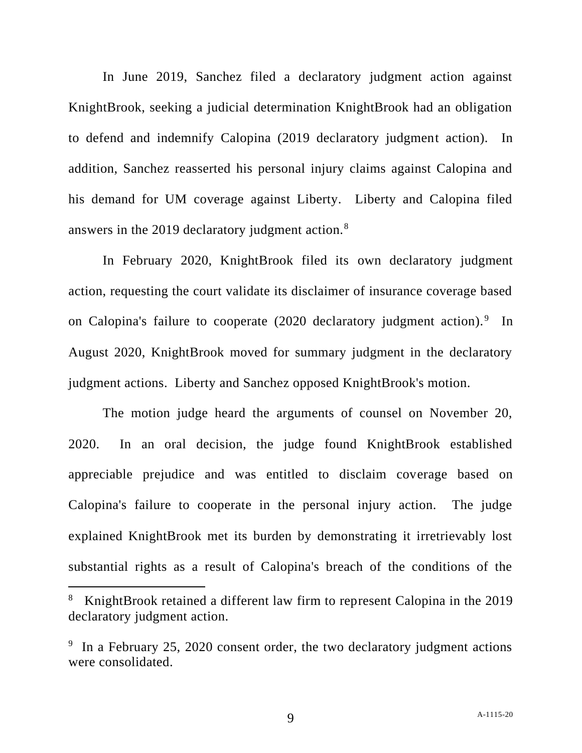In June 2019, Sanchez filed a declaratory judgment action against KnightBrook, seeking a judicial determination KnightBrook had an obligation to defend and indemnify Calopina (2019 declaratory judgment action). In addition, Sanchez reasserted his personal injury claims against Calopina and his demand for UM coverage against Liberty. Liberty and Calopina filed answers in the 2019 declaratory judgment action.<sup>8</sup>

In February 2020, KnightBrook filed its own declaratory judgment action, requesting the court validate its disclaimer of insurance coverage based on Calopina's failure to cooperate (2020 declaratory judgment action).<sup>9</sup> In August 2020, KnightBrook moved for summary judgment in the declaratory judgment actions. Liberty and Sanchez opposed KnightBrook's motion.

The motion judge heard the arguments of counsel on November 20, 2020. In an oral decision, the judge found KnightBrook established appreciable prejudice and was entitled to disclaim coverage based on Calopina's failure to cooperate in the personal injury action. The judge explained KnightBrook met its burden by demonstrating it irretrievably lost substantial rights as a result of Calopina's breach of the conditions of the

<sup>8</sup> KnightBrook retained a different law firm to represent Calopina in the 2019 declaratory judgment action.

<sup>&</sup>lt;sup>9</sup> In a February 25, 2020 consent order, the two declaratory judgment actions were consolidated.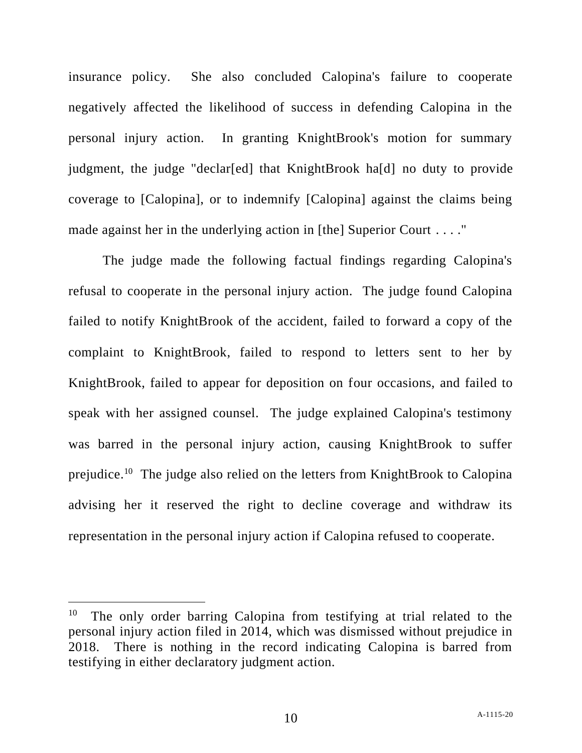insurance policy. She also concluded Calopina's failure to cooperate negatively affected the likelihood of success in defending Calopina in the personal injury action. In granting KnightBrook's motion for summary judgment, the judge "declar[ed] that KnightBrook ha[d] no duty to provide coverage to [Calopina], or to indemnify [Calopina] against the claims being made against her in the underlying action in [the] Superior Court . . . ."

The judge made the following factual findings regarding Calopina's refusal to cooperate in the personal injury action. The judge found Calopina failed to notify KnightBrook of the accident, failed to forward a copy of the complaint to KnightBrook, failed to respond to letters sent to her by KnightBrook, failed to appear for deposition on four occasions, and failed to speak with her assigned counsel. The judge explained Calopina's testimony was barred in the personal injury action, causing KnightBrook to suffer prejudice.<sup>10</sup> The judge also relied on the letters from KnightBrook to Calopina advising her it reserved the right to decline coverage and withdraw its representation in the personal injury action if Calopina refused to cooperate.

<sup>10</sup> The only order barring Calopina from testifying at trial related to the personal injury action filed in 2014, which was dismissed without prejudice in 2018. There is nothing in the record indicating Calopina is barred from testifying in either declaratory judgment action.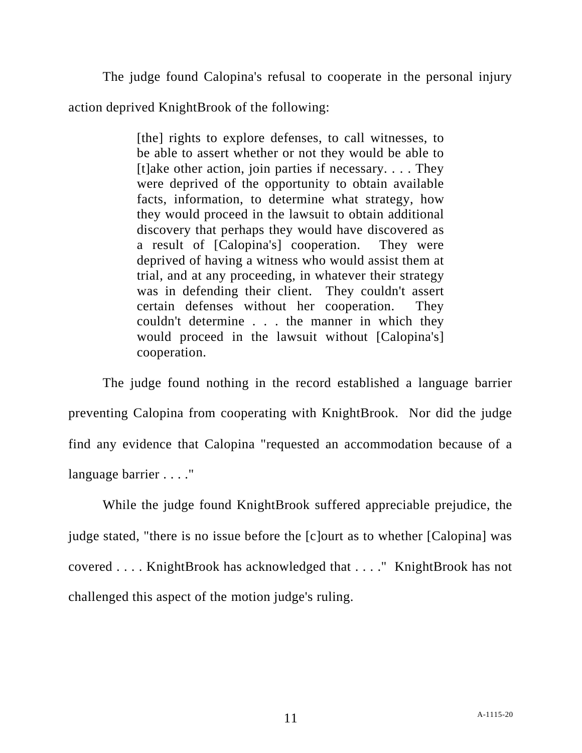The judge found Calopina's refusal to cooperate in the personal injury

action deprived KnightBrook of the following:

[the] rights to explore defenses, to call witnesses, to be able to assert whether or not they would be able to  $[t]$ ake other action, join parties if necessary. . . . They were deprived of the opportunity to obtain available facts, information, to determine what strategy, how they would proceed in the lawsuit to obtain additional discovery that perhaps they would have discovered as a result of [Calopina's] cooperation. They were deprived of having a witness who would assist them at trial, and at any proceeding, in whatever their strategy was in defending their client. They couldn't assert certain defenses without her cooperation. They couldn't determine . . . the manner in which they would proceed in the lawsuit without [Calopina's] cooperation.

The judge found nothing in the record established a language barrier preventing Calopina from cooperating with KnightBrook. Nor did the judge find any evidence that Calopina "requested an accommodation because of a language barrier . . . ."

While the judge found KnightBrook suffered appreciable prejudice, the judge stated, "there is no issue before the [c]ourt as to whether [Calopina] was covered . . . . KnightBrook has acknowledged that . . . ." KnightBrook has not challenged this aspect of the motion judge's ruling.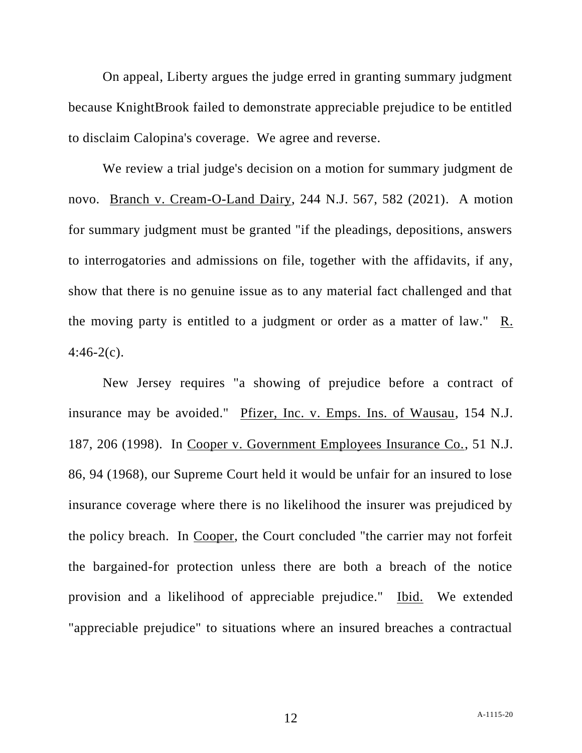On appeal, Liberty argues the judge erred in granting summary judgment because KnightBrook failed to demonstrate appreciable prejudice to be entitled to disclaim Calopina's coverage. We agree and reverse.

We review a trial judge's decision on a motion for summary judgment de novo. Branch v. Cream-O-Land Dairy, 244 N.J. 567, 582 (2021). A motion for summary judgment must be granted "if the pleadings, depositions, answers to interrogatories and admissions on file, together with the affidavits, if any, show that there is no genuine issue as to any material fact challenged and that the moving party is entitled to a judgment or order as a matter of law." R.  $4:46-2(c)$ .

New Jersey requires "a showing of prejudice before a contract of insurance may be avoided." Pfizer, Inc. v. Emps. Ins. of Wausau, 154 N.J. 187, 206 (1998). In Cooper v. Government Employees Insurance Co., 51 N.J. 86, 94 (1968), our Supreme Court held it would be unfair for an insured to lose insurance coverage where there is no likelihood the insurer was prejudiced by the policy breach. In Cooper, the Court concluded "the carrier may not forfeit the bargained-for protection unless there are both a breach of the notice provision and a likelihood of appreciable prejudice." Ibid. We extended "appreciable prejudice" to situations where an insured breaches a contractual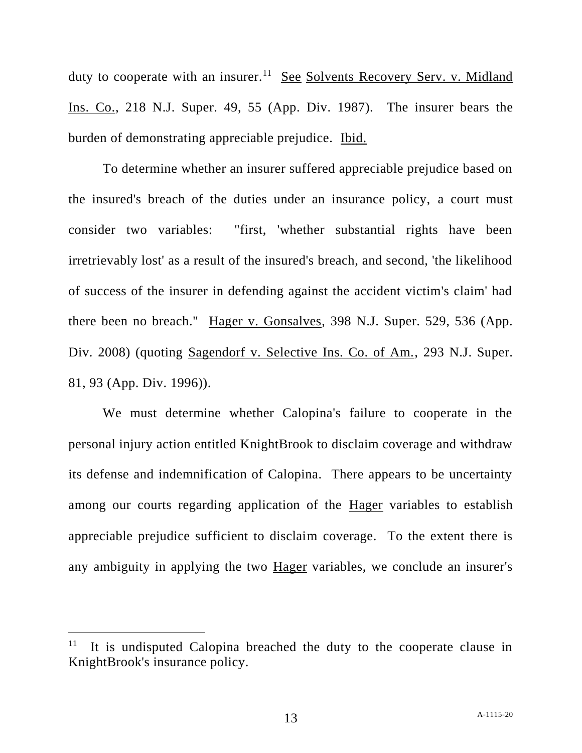duty to cooperate with an insurer.<sup>11</sup> See Solvents Recovery Serv. v. Midland Ins. Co., 218 N.J. Super. 49, 55 (App. Div. 1987). The insurer bears the burden of demonstrating appreciable prejudice. Ibid.

To determine whether an insurer suffered appreciable prejudice based on the insured's breach of the duties under an insurance policy, a court must consider two variables: "first, 'whether substantial rights have been irretrievably lost' as a result of the insured's breach, and second, 'the likelihood of success of the insurer in defending against the accident victim's claim' had there been no breach." Hager v. Gonsalves, 398 N.J. Super. 529, 536 (App. Div. 2008) (quoting Sagendorf v. Selective Ins. Co. of Am., 293 N.J. Super. 81, 93 (App. Div. 1996)).

We must determine whether Calopina's failure to cooperate in the personal injury action entitled KnightBrook to disclaim coverage and withdraw its defense and indemnification of Calopina. There appears to be uncertainty among our courts regarding application of the Hager variables to establish appreciable prejudice sufficient to disclaim coverage. To the extent there is any ambiguity in applying the two Hager variables, we conclude an insurer's

<sup>11</sup> It is undisputed Calopina breached the duty to the cooperate clause in KnightBrook's insurance policy.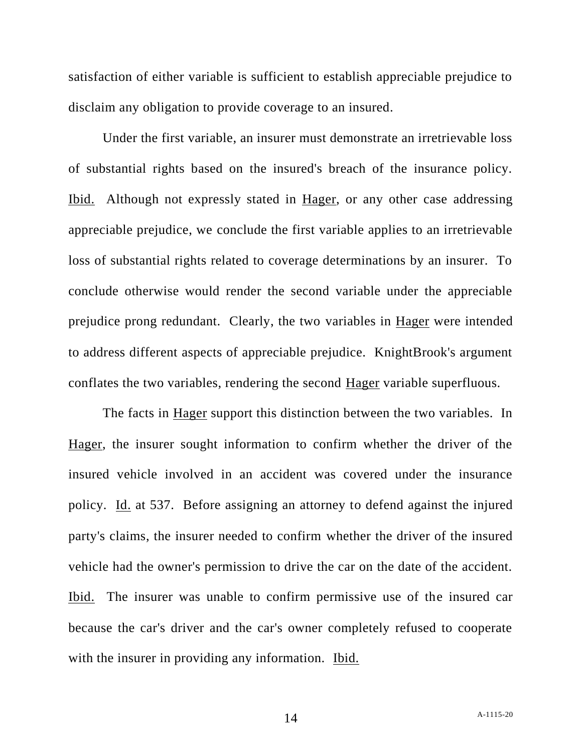satisfaction of either variable is sufficient to establish appreciable prejudice to disclaim any obligation to provide coverage to an insured.

Under the first variable, an insurer must demonstrate an irretrievable loss of substantial rights based on the insured's breach of the insurance policy. Ibid. Although not expressly stated in Hager, or any other case addressing appreciable prejudice, we conclude the first variable applies to an irretrievable loss of substantial rights related to coverage determinations by an insurer. To conclude otherwise would render the second variable under the appreciable prejudice prong redundant. Clearly, the two variables in Hager were intended to address different aspects of appreciable prejudice. KnightBrook's argument conflates the two variables, rendering the second Hager variable superfluous.

The facts in Hager support this distinction between the two variables. In Hager, the insurer sought information to confirm whether the driver of the insured vehicle involved in an accident was covered under the insurance policy. Id. at 537. Before assigning an attorney to defend against the injured party's claims, the insurer needed to confirm whether the driver of the insured vehicle had the owner's permission to drive the car on the date of the accident. Ibid. The insurer was unable to confirm permissive use of the insured car because the car's driver and the car's owner completely refused to cooperate with the insurer in providing any information. Ibid.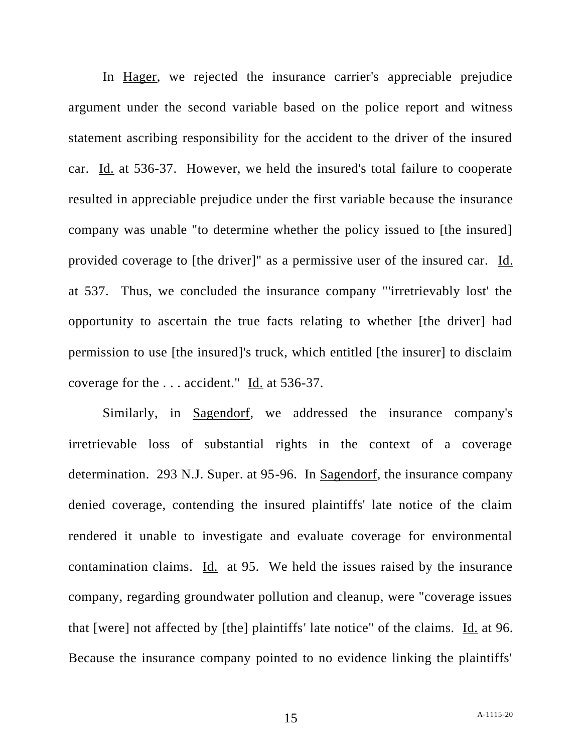In Hager, we rejected the insurance carrier's appreciable prejudice argument under the second variable based on the police report and witness statement ascribing responsibility for the accident to the driver of the insured car. Id. at 536-37. However, we held the insured's total failure to cooperate resulted in appreciable prejudice under the first variable because the insurance company was unable "to determine whether the policy issued to [the insured] provided coverage to [the driver]" as a permissive user of the insured car. Id. at 537. Thus, we concluded the insurance company "'irretrievably lost' the opportunity to ascertain the true facts relating to whether [the driver] had permission to use [the insured]'s truck, which entitled [the insurer] to disclaim coverage for the . . . accident." Id. at 536-37.

Similarly, in Sagendorf, we addressed the insurance company's irretrievable loss of substantial rights in the context of a coverage determination. 293 N.J. Super. at 95-96. In Sagendorf, the insurance company denied coverage, contending the insured plaintiffs' late notice of the claim rendered it unable to investigate and evaluate coverage for environmental contamination claims. Id. at 95. We held the issues raised by the insurance company, regarding groundwater pollution and cleanup, were "coverage issues that [were] not affected by [the] plaintiffs' late notice" of the claims. Id. at 96. Because the insurance company pointed to no evidence linking the plaintiffs'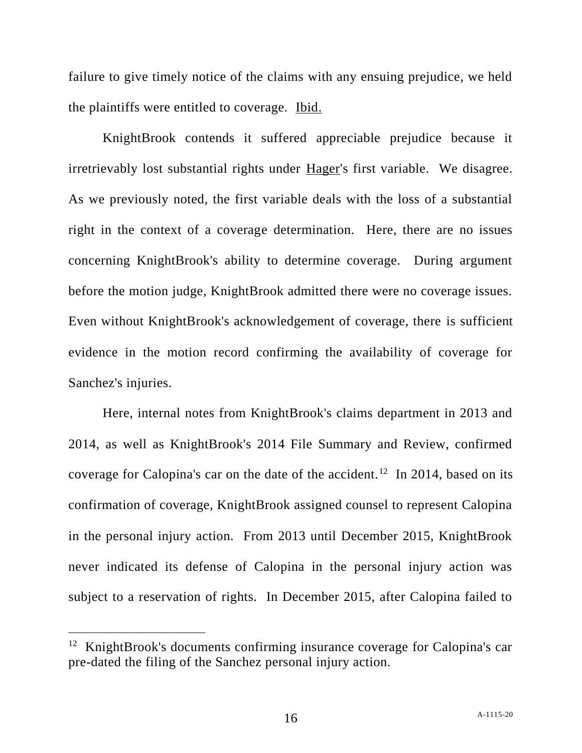failure to give timely notice of the claims with any ensuing prejudice, we held the plaintiffs were entitled to coverage. Ibid.

KnightBrook contends it suffered appreciable prejudice because it irretrievably lost substantial rights under Hager's first variable. We disagree. As we previously noted, the first variable deals with the loss of a substantial right in the context of a coverage determination. Here, there are no issues concerning KnightBrook's ability to determine coverage. During argument before the motion judge, KnightBrook admitted there were no coverage issues. Even without KnightBrook's acknowledgement of coverage, there is sufficient evidence in the motion record confirming the availability of coverage for Sanchez's injuries.

Here, internal notes from KnightBrook's claims department in 2013 and 2014, as well as KnightBrook's 2014 File Summary and Review, confirmed coverage for Calopina's car on the date of the accident.<sup>12</sup> In 2014, based on its confirmation of coverage, KnightBrook assigned counsel to represent Calopina in the personal injury action. From 2013 until December 2015, KnightBrook never indicated its defense of Calopina in the personal injury action was subject to a reservation of rights. In December 2015, after Calopina failed to

<sup>&</sup>lt;sup>12</sup> KnightBrook's documents confirming insurance coverage for Calopina's car pre-dated the filing of the Sanchez personal injury action.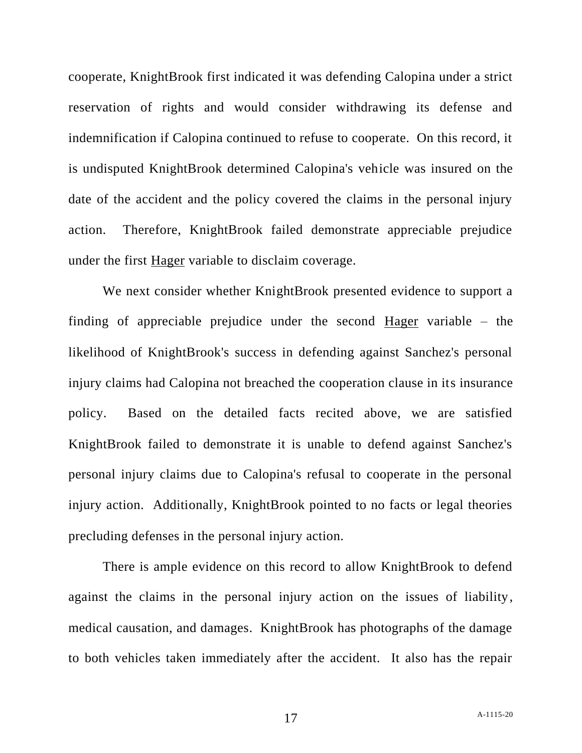cooperate, KnightBrook first indicated it was defending Calopina under a strict reservation of rights and would consider withdrawing its defense and indemnification if Calopina continued to refuse to cooperate. On this record, it is undisputed KnightBrook determined Calopina's vehicle was insured on the date of the accident and the policy covered the claims in the personal injury action. Therefore, KnightBrook failed demonstrate appreciable prejudice under the first Hager variable to disclaim coverage.

We next consider whether KnightBrook presented evidence to support a finding of appreciable prejudice under the second Hager variable – the likelihood of KnightBrook's success in defending against Sanchez's personal injury claims had Calopina not breached the cooperation clause in its insurance policy. Based on the detailed facts recited above, we are satisfied KnightBrook failed to demonstrate it is unable to defend against Sanchez's personal injury claims due to Calopina's refusal to cooperate in the personal injury action. Additionally, KnightBrook pointed to no facts or legal theories precluding defenses in the personal injury action.

There is ample evidence on this record to allow KnightBrook to defend against the claims in the personal injury action on the issues of liability, medical causation, and damages. KnightBrook has photographs of the damage to both vehicles taken immediately after the accident. It also has the repair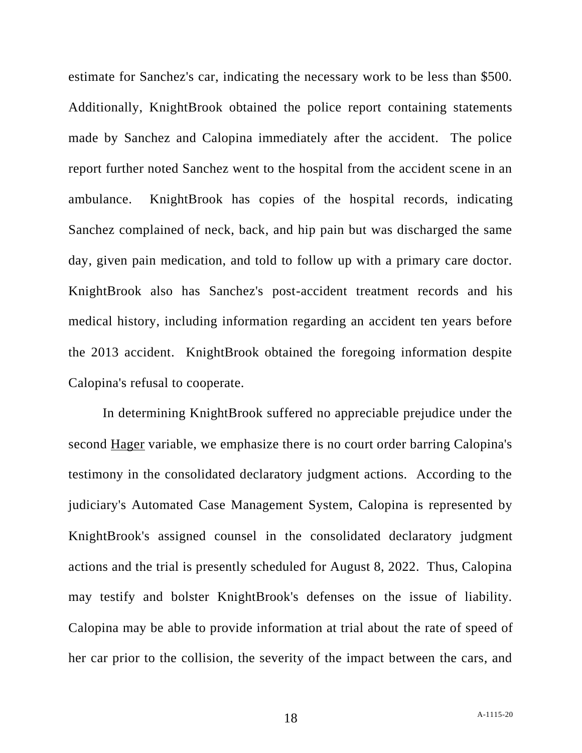estimate for Sanchez's car, indicating the necessary work to be less than \$500. Additionally, KnightBrook obtained the police report containing statements made by Sanchez and Calopina immediately after the accident. The police report further noted Sanchez went to the hospital from the accident scene in an ambulance. KnightBrook has copies of the hospital records, indicating Sanchez complained of neck, back, and hip pain but was discharged the same day, given pain medication, and told to follow up with a primary care doctor. KnightBrook also has Sanchez's post-accident treatment records and his medical history, including information regarding an accident ten years before the 2013 accident. KnightBrook obtained the foregoing information despite Calopina's refusal to cooperate.

In determining KnightBrook suffered no appreciable prejudice under the second Hager variable, we emphasize there is no court order barring Calopina's testimony in the consolidated declaratory judgment actions. According to the judiciary's Automated Case Management System, Calopina is represented by KnightBrook's assigned counsel in the consolidated declaratory judgment actions and the trial is presently scheduled for August 8, 2022. Thus, Calopina may testify and bolster KnightBrook's defenses on the issue of liability. Calopina may be able to provide information at trial about the rate of speed of her car prior to the collision, the severity of the impact between the cars, and